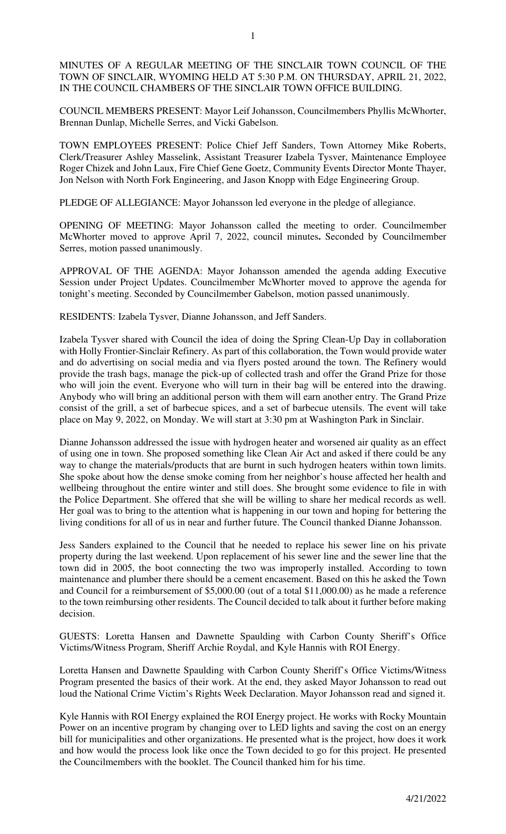MINUTES OF A REGULAR MEETING OF THE SINCLAIR TOWN COUNCIL OF THE TOWN OF SINCLAIR, WYOMING HELD AT 5:30 P.M. ON THURSDAY, APRIL 21, 2022, IN THE COUNCIL CHAMBERS OF THE SINCLAIR TOWN OFFICE BUILDING.

COUNCIL MEMBERS PRESENT: Mayor Leif Johansson, Councilmembers Phyllis McWhorter, Brennan Dunlap, Michelle Serres, and Vicki Gabelson.

TOWN EMPLOYEES PRESENT: Police Chief Jeff Sanders, Town Attorney Mike Roberts, Clerk/Treasurer Ashley Masselink, Assistant Treasurer Izabela Tysver, Maintenance Employee Roger Chizek and John Laux, Fire Chief Gene Goetz, Community Events Director Monte Thayer, Jon Nelson with North Fork Engineering, and Jason Knopp with Edge Engineering Group.

PLEDGE OF ALLEGIANCE: Mayor Johansson led everyone in the pledge of allegiance.

OPENING OF MEETING: Mayor Johansson called the meeting to order. Councilmember McWhorter moved to approve April 7, 2022, council minutes**.** Seconded by Councilmember Serres, motion passed unanimously.

APPROVAL OF THE AGENDA: Mayor Johansson amended the agenda adding Executive Session under Project Updates. Councilmember McWhorter moved to approve the agenda for tonight's meeting. Seconded by Councilmember Gabelson, motion passed unanimously.

RESIDENTS: Izabela Tysver, Dianne Johansson, and Jeff Sanders.

Izabela Tysver shared with Council the idea of doing the Spring Clean-Up Day in collaboration with Holly Frontier-Sinclair Refinery. As part of this collaboration, the Town would provide water and do advertising on social media and via flyers posted around the town. The Refinery would provide the trash bags, manage the pick-up of collected trash and offer the Grand Prize for those who will join the event. Everyone who will turn in their bag will be entered into the drawing. Anybody who will bring an additional person with them will earn another entry. The Grand Prize consist of the grill, a set of barbecue spices, and a set of barbecue utensils. The event will take place on May 9, 2022, on Monday. We will start at 3:30 pm at Washington Park in Sinclair.

Dianne Johansson addressed the issue with hydrogen heater and worsened air quality as an effect of using one in town. She proposed something like Clean Air Act and asked if there could be any way to change the materials/products that are burnt in such hydrogen heaters within town limits. She spoke about how the dense smoke coming from her neighbor's house affected her health and wellbeing throughout the entire winter and still does. She brought some evidence to file in with the Police Department. She offered that she will be willing to share her medical records as well. Her goal was to bring to the attention what is happening in our town and hoping for bettering the living conditions for all of us in near and further future. The Council thanked Dianne Johansson.

Jess Sanders explained to the Council that he needed to replace his sewer line on his private property during the last weekend. Upon replacement of his sewer line and the sewer line that the town did in 2005, the boot connecting the two was improperly installed. According to town maintenance and plumber there should be a cement encasement. Based on this he asked the Town and Council for a reimbursement of \$5,000.00 (out of a total \$11,000.00) as he made a reference to the town reimbursing other residents. The Council decided to talk about it further before making decision.

GUESTS: Loretta Hansen and Dawnette Spaulding with Carbon County Sheriff's Office Victims/Witness Program, Sheriff Archie Roydal, and Kyle Hannis with ROI Energy.

Loretta Hansen and Dawnette Spaulding with Carbon County Sheriff's Office Victims/Witness Program presented the basics of their work. At the end, they asked Mayor Johansson to read out loud the National Crime Victim's Rights Week Declaration. Mayor Johansson read and signed it.

Kyle Hannis with ROI Energy explained the ROI Energy project. He works with Rocky Mountain Power on an incentive program by changing over to LED lights and saving the cost on an energy bill for municipalities and other organizations. He presented what is the project, how does it work and how would the process look like once the Town decided to go for this project. He presented the Councilmembers with the booklet. The Council thanked him for his time.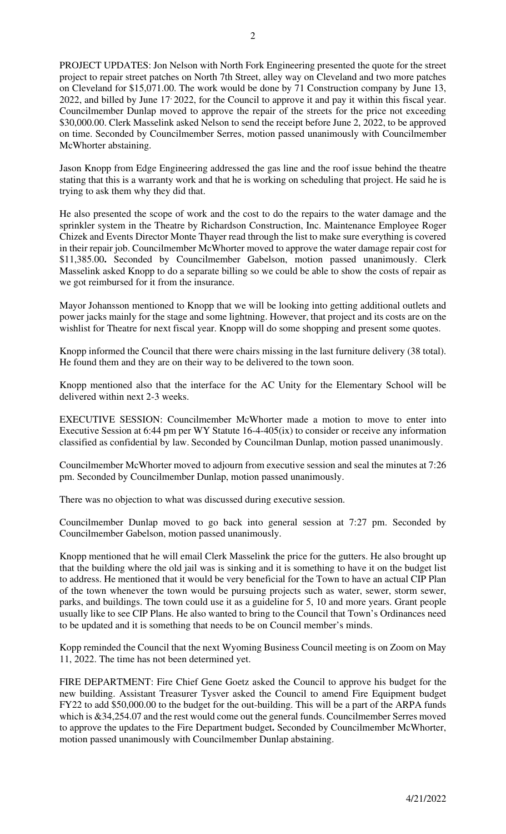PROJECT UPDATES: Jon Nelson with North Fork Engineering presented the quote for the street project to repair street patches on North 7th Street, alley way on Cleveland and two more patches on Cleveland for \$15,071.00. The work would be done by 71 Construction company by June 13, 2022, and billed by June 17, 2022, for the Council to approve it and pay it within this fiscal year. Councilmember Dunlap moved to approve the repair of the streets for the price not exceeding \$30,000.00. Clerk Masselink asked Nelson to send the receipt before June 2, 2022, to be approved on time. Seconded by Councilmember Serres, motion passed unanimously with Councilmember McWhorter abstaining.

Jason Knopp from Edge Engineering addressed the gas line and the roof issue behind the theatre stating that this is a warranty work and that he is working on scheduling that project. He said he is trying to ask them why they did that.

He also presented the scope of work and the cost to do the repairs to the water damage and the sprinkler system in the Theatre by Richardson Construction, Inc. Maintenance Employee Roger Chizek and Events Director Monte Thayer read through the list to make sure everything is covered in their repair job. Councilmember McWhorter moved to approve the water damage repair cost for \$11,385.00**.** Seconded by Councilmember Gabelson, motion passed unanimously. Clerk Masselink asked Knopp to do a separate billing so we could be able to show the costs of repair as we got reimbursed for it from the insurance.

Mayor Johansson mentioned to Knopp that we will be looking into getting additional outlets and power jacks mainly for the stage and some lightning. However, that project and its costs are on the wishlist for Theatre for next fiscal year. Knopp will do some shopping and present some quotes.

Knopp informed the Council that there were chairs missing in the last furniture delivery (38 total). He found them and they are on their way to be delivered to the town soon.

Knopp mentioned also that the interface for the AC Unity for the Elementary School will be delivered within next 2-3 weeks.

EXECUTIVE SESSION: Councilmember McWhorter made a motion to move to enter into Executive Session at 6:44 pm per WY Statute 16-4-405(ix) to consider or receive any information classified as confidential by law. Seconded by Councilman Dunlap, motion passed unanimously.

Councilmember McWhorter moved to adjourn from executive session and seal the minutes at 7:26 pm. Seconded by Councilmember Dunlap, motion passed unanimously.

There was no objection to what was discussed during executive session.

Councilmember Dunlap moved to go back into general session at 7:27 pm. Seconded by Councilmember Gabelson, motion passed unanimously.

Knopp mentioned that he will email Clerk Masselink the price for the gutters. He also brought up that the building where the old jail was is sinking and it is something to have it on the budget list to address. He mentioned that it would be very beneficial for the Town to have an actual CIP Plan of the town whenever the town would be pursuing projects such as water, sewer, storm sewer, parks, and buildings. The town could use it as a guideline for 5, 10 and more years. Grant people usually like to see CIP Plans. He also wanted to bring to the Council that Town's Ordinances need to be updated and it is something that needs to be on Council member's minds.

Kopp reminded the Council that the next Wyoming Business Council meeting is on Zoom on May 11, 2022. The time has not been determined yet.

FIRE DEPARTMENT: Fire Chief Gene Goetz asked the Council to approve his budget for the new building. Assistant Treasurer Tysver asked the Council to amend Fire Equipment budget FY22 to add \$50,000.00 to the budget for the out-building. This will be a part of the ARPA funds which is  $&34,254.07$  and the rest would come out the general funds. Councilmember Serres moved to approve the updates to the Fire Department budget**.** Seconded by Councilmember McWhorter, motion passed unanimously with Councilmember Dunlap abstaining.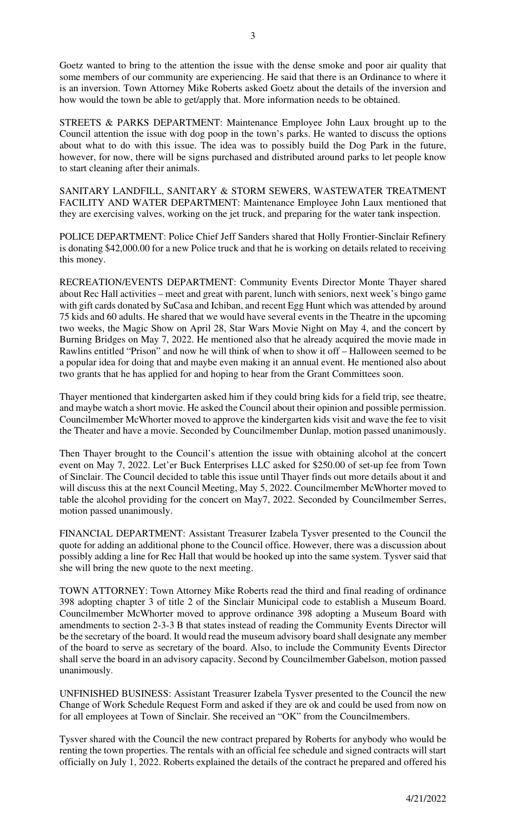Goetz wanted to bring to the attention the issue with the dense smoke and poor air quality that some members of our community are experiencing. He said that there is an Ordinance to where it is an inversion. Town Attorney Mike Roberts asked Goetz about the details of the inversion and how would the town be able to get/apply that. More information needs to be obtained.

STREETS & PARKS DEPARTMENT: Maintenance Employee John Laux brought up to the Council attention the issue with dog poop in the town's parks. He wanted to discuss the options about what to do with this issue. The idea was to possibly build the Dog Park in the future, however, for now, there will be signs purchased and distributed around parks to let people know to start cleaning after their animals.

SANITARY LANDFILL, SANITARY & STORM SEWERS, WASTEWATER TREATMENT FACILITY AND WATER DEPARTMENT: Maintenance Employee John Laux mentioned that they are exercising valves, working on the jet truck, and preparing for the water tank inspection.

POLICE DEPARTMENT: Police Chief Jeff Sanders shared that Holly Frontier-Sinclair Refinery is donating \$42,000.00 for a new Police truck and that he is working on details related to receiving this money.

RECREATION/EVENTS DEPARTMENT: Community Events Director Monte Thayer shared about Rec Hall activities – meet and great with parent, lunch with seniors, next week's bingo game with gift cards donated by SuCasa and Ichiban, and recent Egg Hunt which was attended by around 75 kids and 60 adults. He shared that we would have several events in the Theatre in the upcoming two weeks, the Magic Show on April 28, Star Wars Movie Night on May 4, and the concert by Burning Bridges on May 7, 2022. He mentioned also that he already acquired the movie made in Rawlins entitled "Prison" and now he will think of when to show it off – Halloween seemed to be a popular idea for doing that and maybe even making it an annual event. He mentioned also about two grants that he has applied for and hoping to hear from the Grant Committees soon.

Thayer mentioned that kindergarten asked him if they could bring kids for a field trip, see theatre, and maybe watch a short movie. He asked the Council about their opinion and possible permission. Councilmember McWhorter moved to approve the kindergarten kids visit and wave the fee to visit the Theater and have a movie. Seconded by Councilmember Dunlap, motion passed unanimously.

Then Thayer brought to the Council's attention the issue with obtaining alcohol at the concert event on May 7, 2022. Let'er Buck Enterprises LLC asked for \$250.00 of set-up fee from Town of Sinclair. The Council decided to table this issue until Thayer finds out more details about it and will discuss this at the next Council Meeting, May 5, 2022. Councilmember McWhorter moved to table the alcohol providing for the concert on May7, 2022. Seconded by Councilmember Serres, motion passed unanimously.

FINANCIAL DEPARTMENT: Assistant Treasurer Izabela Tysver presented to the Council the quote for adding an additional phone to the Council office. However, there was a discussion about possibly adding a line for Rec Hall that would be hooked up into the same system. Tysver said that she will bring the new quote to the next meeting.

TOWN ATTORNEY: Town Attorney Mike Roberts read the third and final reading of ordinance 398 adopting chapter 3 of title 2 of the Sinclair Municipal code to establish a Museum Board. Councilmember McWhorter moved to approve ordinance 398 adopting a Museum Board with amendments to section 2-3-3 B that states instead of reading the Community Events Director will be the secretary of the board. It would read the museum advisory board shall designate any member of the board to serve as secretary of the board. Also, to include the Community Events Director shall serve the board in an advisory capacity. Second by Councilmember Gabelson, motion passed unanimously.

UNFINISHED BUSINESS: Assistant Treasurer Izabela Tysver presented to the Council the new Change of Work Schedule Request Form and asked if they are ok and could be used from now on for all employees at Town of Sinclair. She received an "OK" from the Councilmembers.

Tysver shared with the Council the new contract prepared by Roberts for anybody who would be renting the town properties. The rentals with an official fee schedule and signed contracts will start officially on July 1, 2022. Roberts explained the details of the contract he prepared and offered his